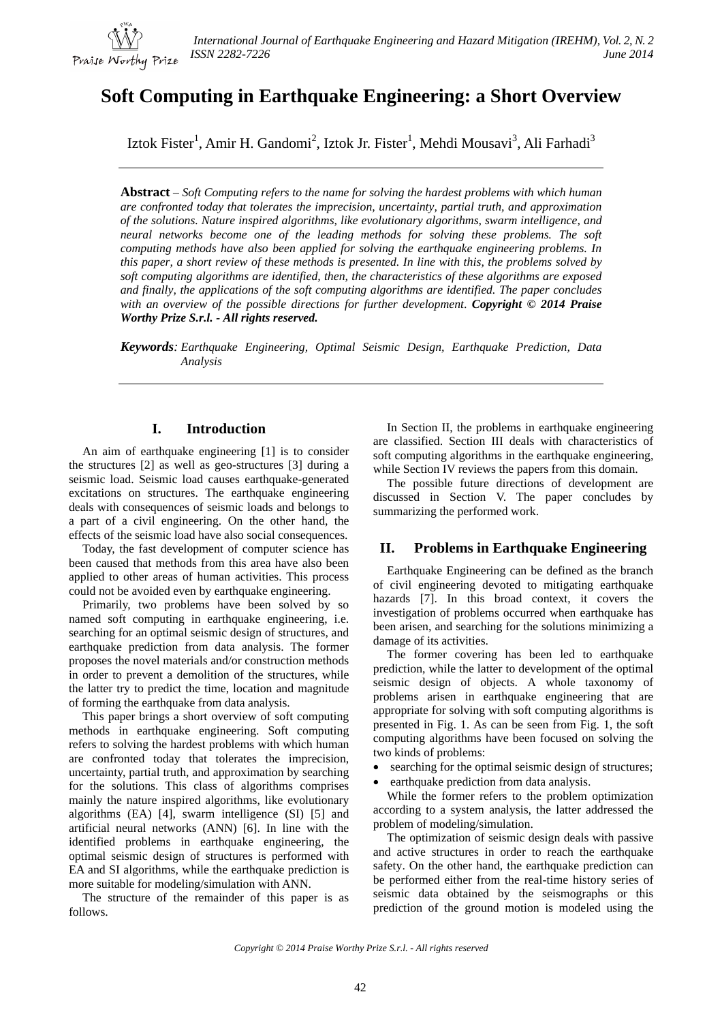

# **Soft Computing in Earthquake Engineering: a Short Overview**

Iztok Fister<sup>1</sup>, Amir H. Gandomi<sup>2</sup>, Iztok Jr. Fister<sup>1</sup>, Mehdi Mousavi<sup>3</sup>, Ali Farhadi<sup>3</sup>

**Abstract** – *Soft Computing refers to the name for solving the hardest problems with which human are confronted today that tolerates the imprecision, uncertainty, partial truth, and approximation of the solutions. Nature inspired algorithms, like evolutionary algorithms, swarm intelligence, and neural networks become one of the leading methods for solving these problems. The soft computing methods have also been applied for solving the earthquake engineering problems. In this paper, a short review of these methods is presented. In line with this, the problems solved by soft computing algorithms are identified, then, the characteristics of these algorithms are exposed and finally, the applications of the soft computing algorithms are identified. The paper concludes with an overview of the possible directions for further development*. *Copyright © 2014 Praise Worthy Prize S.r.l. - All rights reserved.*

*Keywords: Earthquake Engineering, Optimal Seismic Design, Earthquake Prediction, Data Analysis*

# **I. Introduction**

An aim of earthquake engineering [1] is to consider the structures [2] as well as geo-structures [3] during a seismic load. Seismic load causes earthquake-generated excitations on structures. The earthquake engineering deals with consequences of seismic loads and belongs to a part of a civil engineering. On the other hand, the effects of the seismic load have also social consequences.

Today, the fast development of computer science has been caused that methods from this area have also been applied to other areas of human activities. This process could not be avoided even by earthquake engineering.

Primarily, two problems have been solved by so named soft computing in earthquake engineering, i.e. searching for an optimal seismic design of structures, and earthquake prediction from data analysis. The former proposes the novel materials and/or construction methods in order to prevent a demolition of the structures, while the latter try to predict the time, location and magnitude of forming the earthquake from data analysis.

This paper brings a short overview of soft computing methods in earthquake engineering. Soft computing refers to solving the hardest problems with which human are confronted today that tolerates the imprecision, uncertainty, partial truth, and approximation by searching for the solutions. This class of algorithms comprises mainly the nature inspired algorithms, like evolutionary algorithms (EA) [4], swarm intelligence (SI) [5] and artificial neural networks (ANN) [6]. In line with the identified problems in earthquake engineering, the optimal seismic design of structures is performed with EA and SI algorithms, while the earthquake prediction is more suitable for modeling/simulation with ANN.

The structure of the remainder of this paper is as follows.

In Section II, the problems in earthquake engineering are classified. Section III deals with characteristics of soft computing algorithms in the earthquake engineering, while Section IV reviews the papers from this domain.

The possible future directions of development are discussed in Section V. The paper concludes by summarizing the performed work.

#### **II. Problems in Earthquake Engineering**

Earthquake Engineering can be defined as the branch of civil engineering devoted to mitigating earthquake hazards [7]. In this broad context, it covers the investigation of problems occurred when earthquake has been arisen, and searching for the solutions minimizing a damage of its activities.

The former covering has been led to earthquake prediction, while the latter to development of the optimal seismic design of objects. A whole taxonomy of problems arisen in earthquake engineering that are appropriate for solving with soft computing algorithms is presented in Fig. 1. As can be seen from Fig. 1, the soft computing algorithms have been focused on solving the two kinds of problems:

- searching for the optimal seismic design of structures;
- earthquake prediction from data analysis.

While the former refers to the problem optimization according to a system analysis, the latter addressed the problem of modeling/simulation.

The optimization of seismic design deals with passive and active structures in order to reach the earthquake safety. On the other hand, the earthquake prediction can be performed either from the real-time history series of seismic data obtained by the seismographs or this prediction of the ground motion is modeled using the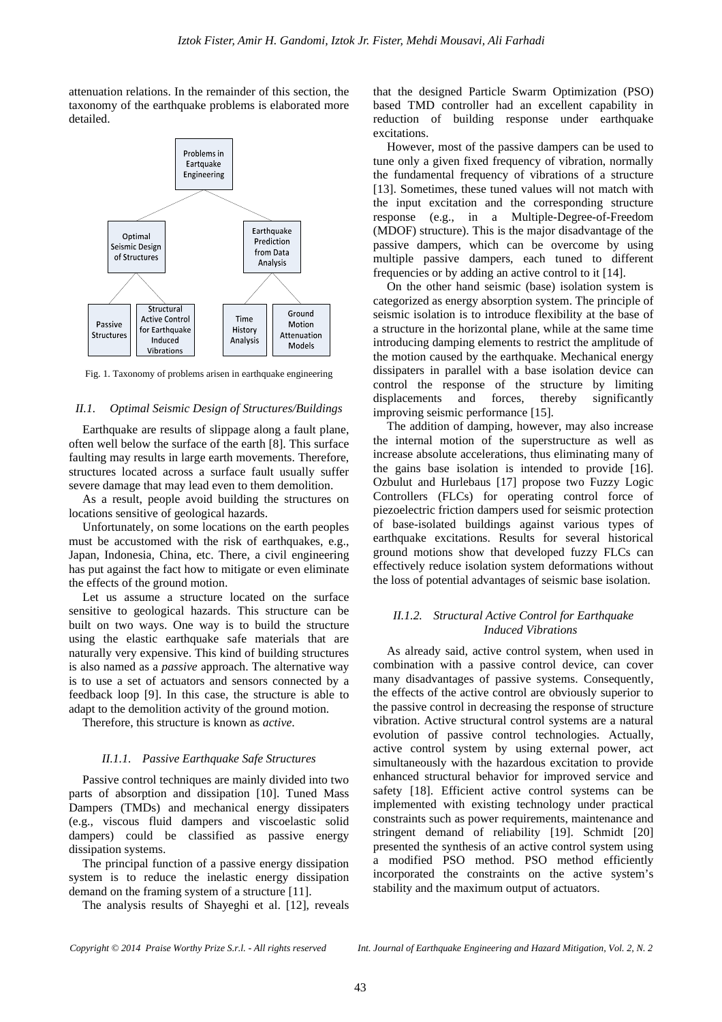attenuation relations. In the remainder of this section, the taxonomy of the earthquake problems is elaborated more detailed.



Fig. 1. Taxonomy of problems arisen in earthquake engineering

#### *II.1. Optimal Seismic Design of Structures/Buildings*

Earthquake are results of slippage along a fault plane, often well below the surface of the earth [8]. This surface faulting may results in large earth movements. Therefore, structures located across a surface fault usually suffer severe damage that may lead even to them demolition.

As a result, people avoid building the structures on locations sensitive of geological hazards.

Unfortunately, on some locations on the earth peoples must be accustomed with the risk of earthquakes, e.g., Japan, Indonesia, China, etc. There, a civil engineering has put against the fact how to mitigate or even eliminate the effects of the ground motion.

Let us assume a structure located on the surface sensitive to geological hazards. This structure can be built on two ways. One way is to build the structure using the elastic earthquake safe materials that are naturally very expensive. This kind of building structures is also named as a *passive* approach. The alternative way is to use a set of actuators and sensors connected by a feedback loop [9]. In this case, the structure is able to adapt to the demolition activity of the ground motion.

Therefore, this structure is known as *active*.

#### *II.1.1. Passive Earthquake Safe Structures*

Passive control techniques are mainly divided into two parts of absorption and dissipation [10]. Tuned Mass Dampers (TMDs) and mechanical energy dissipaters (e.g., viscous fluid dampers and viscoelastic solid dampers) could be classified as passive energy dissipation systems.

The principal function of a passive energy dissipation system is to reduce the inelastic energy dissipation demand on the framing system of a structure [11].

The analysis results of Shayeghi et al. [12], reveals

that the designed Particle Swarm Optimization (PSO) based TMD controller had an excellent capability in reduction of building response under earthquake excitations.

However, most of the passive dampers can be used to tune only a given fixed frequency of vibration, normally the fundamental frequency of vibrations of a structure [13]. Sometimes, these tuned values will not match with the input excitation and the corresponding structure response (e.g., in a Multiple-Degree-of-Freedom (MDOF) structure). This is the major disadvantage of the passive dampers, which can be overcome by using multiple passive dampers, each tuned to different frequencies or by adding an active control to it [14].

On the other hand seismic (base) isolation system is categorized as energy absorption system. The principle of seismic isolation is to introduce flexibility at the base of a structure in the horizontal plane, while at the same time introducing damping elements to restrict the amplitude of the motion caused by the earthquake. Mechanical energy dissipaters in parallel with a base isolation device can control the response of the structure by limiting displacements and forces, thereby significantly improving seismic performance [15].

The addition of damping, however, may also increase the internal motion of the superstructure as well as increase absolute accelerations, thus eliminating many of the gains base isolation is intended to provide [16]. Ozbulut and Hurlebaus [17] propose two Fuzzy Logic Controllers (FLCs) for operating control force of piezoelectric friction dampers used for seismic protection of base-isolated buildings against various types of earthquake excitations. Results for several historical ground motions show that developed fuzzy FLCs can effectively reduce isolation system deformations without the loss of potential advantages of seismic base isolation.

#### *II.1.2. Structural Active Control for Earthquake Induced Vibrations*

As already said, active control system, when used in combination with a passive control device, can cover many disadvantages of passive systems. Consequently, the effects of the active control are obviously superior to the passive control in decreasing the response of structure vibration. Active structural control systems are a natural evolution of passive control technologies. Actually, active control system by using external power, act simultaneously with the hazardous excitation to provide enhanced structural behavior for improved service and safety [18]. Efficient active control systems can be implemented with existing technology under practical constraints such as power requirements, maintenance and stringent demand of reliability [19]. Schmidt [20] presented the synthesis of an active control system using a modified PSO method. PSO method efficiently incorporated the constraints on the active system's stability and the maximum output of actuators.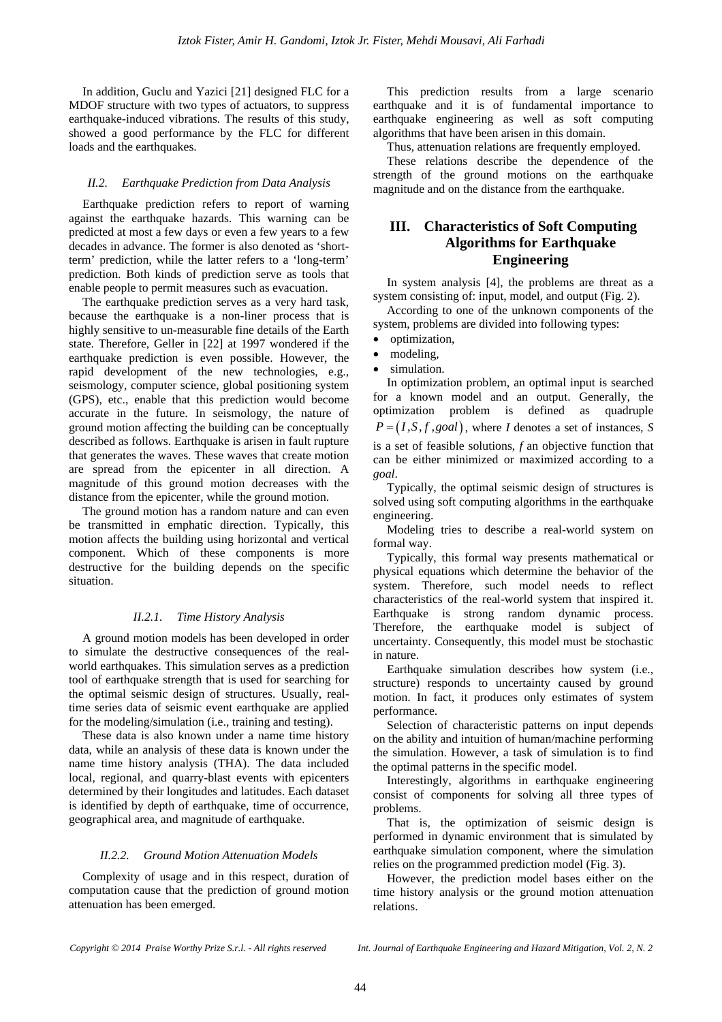In addition, Guclu and Yazici [21] designed FLC for a MDOF structure with two types of actuators, to suppress earthquake-induced vibrations. The results of this study, showed a good performance by the FLC for different loads and the earthquakes.

#### *II.2. Earthquake Prediction from Data Analysis*

Earthquake prediction refers to report of warning against the earthquake hazards. This warning can be predicted at most a few days or even a few years to a few decades in advance. The former is also denoted as 'shortterm' prediction, while the latter refers to a 'long-term' prediction. Both kinds of prediction serve as tools that enable people to permit measures such as evacuation.

The earthquake prediction serves as a very hard task, because the earthquake is a non-liner process that is highly sensitive to un-measurable fine details of the Earth state. Therefore, Geller in [22] at 1997 wondered if the earthquake prediction is even possible. However, the rapid development of the new technologies, e.g., seismology, computer science, global positioning system (GPS), etc., enable that this prediction would become accurate in the future. In seismology, the nature of ground motion affecting the building can be conceptually described as follows. Earthquake is arisen in fault rupture that generates the waves. These waves that create motion are spread from the epicenter in all direction. A magnitude of this ground motion decreases with the distance from the epicenter, while the ground motion.

The ground motion has a random nature and can even be transmitted in emphatic direction. Typically, this motion affects the building using horizontal and vertical component. Which of these components is more destructive for the building depends on the specific situation.

## *II.2.1. Time History Analysis*

A ground motion models has been developed in order to simulate the destructive consequences of the realworld earthquakes. This simulation serves as a prediction tool of earthquake strength that is used for searching for the optimal seismic design of structures. Usually, realtime series data of seismic event earthquake are applied for the modeling/simulation (i.e., training and testing).

These data is also known under a name time history data, while an analysis of these data is known under the name time history analysis (THA). The data included local, regional, and quarry-blast events with epicenters determined by their longitudes and latitudes. Each dataset is identified by depth of earthquake, time of occurrence, geographical area, and magnitude of earthquake.

#### *II.2.2. Ground Motion Attenuation Models*

Complexity of usage and in this respect, duration of computation cause that the prediction of ground motion attenuation has been emerged.

This prediction results from a large scenario earthquake and it is of fundamental importance to earthquake engineering as well as soft computing algorithms that have been arisen in this domain.

Thus, attenuation relations are frequently employed.

These relations describe the dependence of the strength of the ground motions on the earthquake magnitude and on the distance from the earthquake.

# **III. Characteristics of Soft Computing Algorithms for Earthquake Engineering**

In system analysis [4], the problems are threat as a system consisting of: input, model, and output (Fig. 2).

According to one of the unknown components of the system, problems are divided into following types:

- optimization,
- modeling,
- simulation.

In optimization problem, an optimal input is searched for a known model and an output. Generally, the optimization problem is defined as quadruple  $P = (I, S, f, goal)$ , where *I* denotes a set of instances, *S* is a set of feasible solutions, *f* an objective function that can be either minimized or maximized according to a *goal*.

Typically, the optimal seismic design of structures is solved using soft computing algorithms in the earthquake engineering.

Modeling tries to describe a real-world system on formal way.

Typically, this formal way presents mathematical or physical equations which determine the behavior of the system. Therefore, such model needs to reflect characteristics of the real-world system that inspired it. Earthquake is strong random dynamic process. Therefore, the earthquake model is subject of uncertainty. Consequently, this model must be stochastic in nature.

Earthquake simulation describes how system (i.e., structure) responds to uncertainty caused by ground motion. In fact, it produces only estimates of system performance.

Selection of characteristic patterns on input depends on the ability and intuition of human/machine performing the simulation. However, a task of simulation is to find the optimal patterns in the specific model.

Interestingly, algorithms in earthquake engineering consist of components for solving all three types of problems.

That is, the optimization of seismic design is performed in dynamic environment that is simulated by earthquake simulation component, where the simulation relies on the programmed prediction model (Fig. 3).

However, the prediction model bases either on the time history analysis or the ground motion attenuation relations.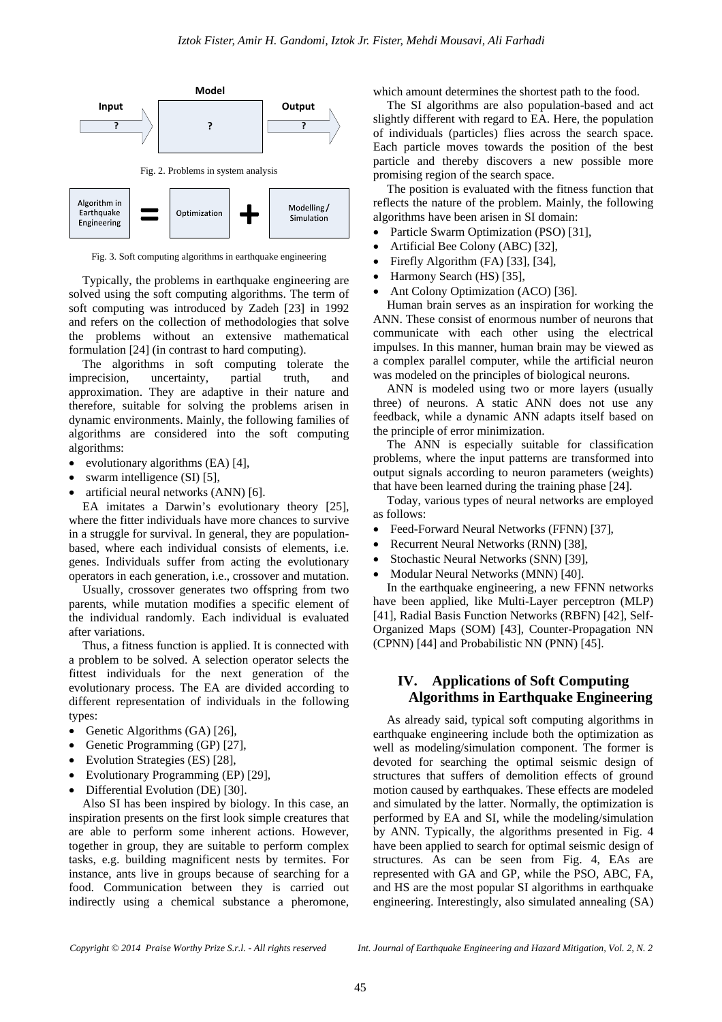

Fig. 3. Soft computing algorithms in earthquake engineering

Typically, the problems in earthquake engineering are solved using the soft computing algorithms. The term of soft computing was introduced by Zadeh [23] in 1992 and refers on the collection of methodologies that solve the problems without an extensive mathematical formulation [24] (in contrast to hard computing).

The algorithms in soft computing tolerate the imprecision, uncertainty, partial truth, and approximation. They are adaptive in their nature and therefore, suitable for solving the problems arisen in dynamic environments. Mainly, the following families of algorithms are considered into the soft computing algorithms:

- evolutionary algorithms (EA) [4],
- swarm intelligence (SI) [5],
- artificial neural networks (ANN) [6].

EA imitates a Darwin's evolutionary theory [25], where the fitter individuals have more chances to survive in a struggle for survival. In general, they are populationbased, where each individual consists of elements, i.e. genes. Individuals suffer from acting the evolutionary operators in each generation, i.e., crossover and mutation.

Usually, crossover generates two offspring from two parents, while mutation modifies a specific element of the individual randomly. Each individual is evaluated after variations.

Thus, a fitness function is applied. It is connected with a problem to be solved. A selection operator selects the fittest individuals for the next generation of the evolutionary process. The EA are divided according to different representation of individuals in the following types:

- Genetic Algorithms (GA) [26],
- Genetic Programming (GP) [27],
- Evolution Strategies (ES) [28],
- Evolutionary Programming (EP) [29],
- Differential Evolution (DE) [30].

Also SI has been inspired by biology. In this case, an inspiration presents on the first look simple creatures that are able to perform some inherent actions. However, together in group, they are suitable to perform complex tasks, e.g. building magnificent nests by termites. For instance, ants live in groups because of searching for a food. Communication between they is carried out indirectly using a chemical substance a pheromone,

which amount determines the shortest path to the food.

The SI algorithms are also population-based and act slightly different with regard to EA. Here, the population of individuals (particles) flies across the search space. Each particle moves towards the position of the best particle and thereby discovers a new possible more promising region of the search space.

The position is evaluated with the fitness function that reflects the nature of the problem. Mainly, the following algorithms have been arisen in SI domain:

- Particle Swarm Optimization (PSO) [31],
- Artificial Bee Colony (ABC) [32],
- Firefly Algorithm (FA) [33], [34],
- Harmony Search (HS) [35],
- Ant Colony Optimization (ACO) [36].

Human brain serves as an inspiration for working the ANN. These consist of enormous number of neurons that communicate with each other using the electrical impulses. In this manner, human brain may be viewed as a complex parallel computer, while the artificial neuron was modeled on the principles of biological neurons.

ANN is modeled using two or more layers (usually three) of neurons. A static ANN does not use any feedback, while a dynamic ANN adapts itself based on the principle of error minimization.

The ANN is especially suitable for classification problems, where the input patterns are transformed into output signals according to neuron parameters (weights) that have been learned during the training phase [24].

Today, various types of neural networks are employed as follows:

- Feed-Forward Neural Networks (FFNN) [37],
- Recurrent Neural Networks (RNN) [38],
- Stochastic Neural Networks (SNN) [39],
- Modular Neural Networks (MNN) [40].

In the earthquake engineering, a new FFNN networks have been applied, like Multi-Layer perceptron (MLP) [41], Radial Basis Function Networks (RBFN) [42], Self-Organized Maps (SOM) [43], Counter-Propagation NN (CPNN) [44] and Probabilistic NN (PNN) [45].

# **IV. Applications of Soft Computing Algorithms in Earthquake Engineering**

As already said, typical soft computing algorithms in earthquake engineering include both the optimization as well as modeling/simulation component. The former is devoted for searching the optimal seismic design of structures that suffers of demolition effects of ground motion caused by earthquakes. These effects are modeled and simulated by the latter. Normally, the optimization is performed by EA and SI, while the modeling/simulation by ANN. Typically, the algorithms presented in Fig. 4 have been applied to search for optimal seismic design of structures. As can be seen from Fig. 4, EAs are represented with GA and GP, while the PSO, ABC, FA, and HS are the most popular SI algorithms in earthquake engineering. Interestingly, also simulated annealing (SA)

*Copyright © 2014 Praise Worthy Prize S.r.l. - All rights reserved Int. Journal of Earthquake Engineering and Hazard Mitigation, Vol. 2, N. 2*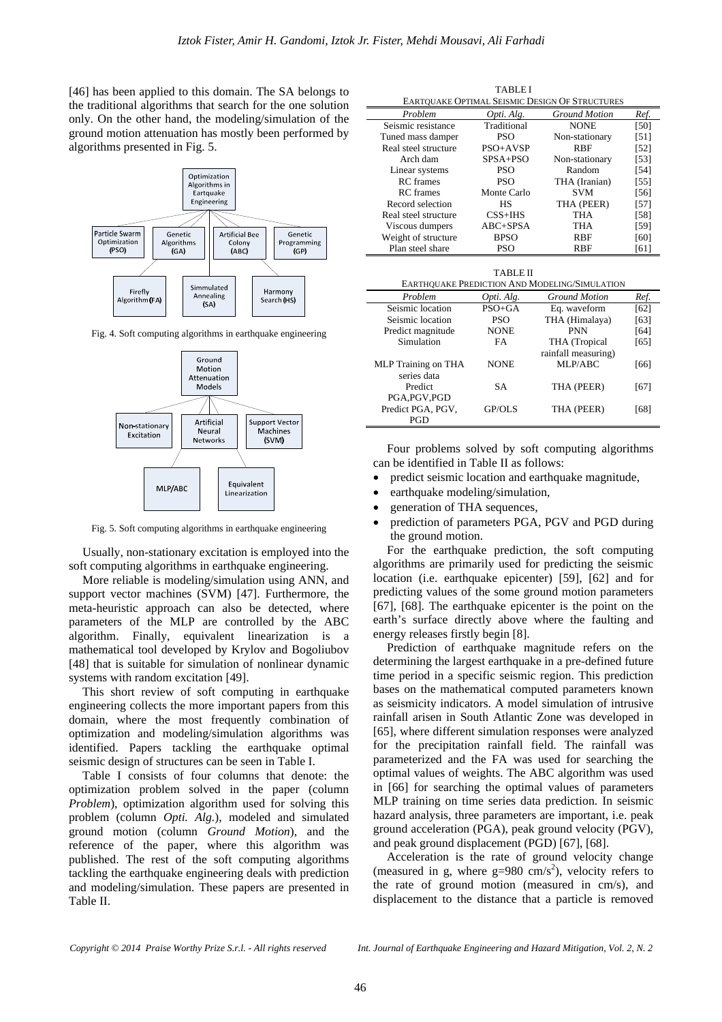[46] has been applied to this domain. The SA belongs to the traditional algorithms that search for the one solution only. On the other hand, the modeling/simulation of the ground motion attenuation has mostly been performed by algorithms presented in Fig. 5.



Fig. 4. Soft computing algorithms in earthquake engineering



Fig. 5. Soft computing algorithms in earthquake engineering

Usually, non-stationary excitation is employed into the soft computing algorithms in earthquake engineering.

More reliable is modeling/simulation using ANN, and support vector machines (SVM) [47]. Furthermore, the meta-heuristic approach can also be detected, where parameters of the MLP are controlled by the ABC algorithm. Finally, equivalent linearization is a mathematical tool developed by Krylov and Bogoliubov [48] that is suitable for simulation of nonlinear dynamic systems with random excitation [49].

This short review of soft computing in earthquake engineering collects the more important papers from this domain, where the most frequently combination of optimization and modeling/simulation algorithms was identified. Papers tackling the earthquake optimal seismic design of structures can be seen in Table I.

Table I consists of four columns that denote: the optimization problem solved in the paper (column *Problem*), optimization algorithm used for solving this problem (column *Opti. Alg.*), modeled and simulated ground motion (column *Ground Motion*), and the reference of the paper, where this algorithm was published. The rest of the soft computing algorithms tackling the earthquake engineering deals with prediction and modeling/simulation. These papers are presented in Table II.

TABLE I EARTQUAKE OPTIMAL SEISMIC DESIGN OF STRUCTURES

| EARTYCARD OF THAND DEIGHIC DEGION OF DTRUCTURES |             |                      |        |  |  |
|-------------------------------------------------|-------------|----------------------|--------|--|--|
| Problem                                         | Opti. Alg.  | <b>Ground Motion</b> | Ref.   |  |  |
| Seismic resistance                              | Traditional | <b>NONE</b>          | [50]   |  |  |
| Tuned mass damper                               | <b>PSO</b>  | Non-stationary       | [51]   |  |  |
| Real steel structure                            | PSO+AVSP    | <b>RBF</b>           | $[52]$ |  |  |
| Arch dam                                        | SPSA+PSO    | Non-stationary       | $[53]$ |  |  |
| Linear systems                                  | <b>PSO</b>  | Random               | $[54]$ |  |  |
| <b>RC</b> frames                                | <b>PSO</b>  | THA (Iranian)        | $[55]$ |  |  |
| <b>RC</b> frames                                | Monte Carlo | <b>SVM</b>           | $[56]$ |  |  |
| Record selection                                | НS          | THA (PEER)           | $[57]$ |  |  |
| Real steel structure                            | $CSS+IHS$   | THA                  | $[58]$ |  |  |
| Viscous dumpers                                 | ABC+SPSA    | THA                  | [59]   |  |  |
| Weight of structure                             | <b>BPSO</b> | <b>RBF</b>           | [60]   |  |  |
| Plan steel share                                | <b>PSO</b>  | RBF                  | [61]   |  |  |

| <b>TABLE II</b>                               |  |
|-----------------------------------------------|--|
| EARTHOUAKE PREDICTION AND MODELING/SIMULATION |  |

| Problem                    | Opti. Alg.  | <b>Ground Motion</b> | Ref. |
|----------------------------|-------------|----------------------|------|
| Seismic location           | $PSO + GA$  | Eq. waveform         | [62] |
| Seismic location           | <b>PSO</b>  | THA (Himalaya)       | [63] |
| Predict magnitude          | <b>NONE</b> | <b>PNN</b>           | [64] |
| Simulation                 | <b>FA</b>   | THA (Tropical        | [65] |
|                            |             | rainfall measuring)  |      |
| <b>MLP</b> Training on THA | <b>NONE</b> | MLP/ABC              | [66] |
| series data                |             |                      |      |
| Predict                    | <b>SA</b>   | THA (PEER)           | [67] |
| PGA, PGV, PGD              |             |                      |      |
| Predict PGA, PGV,          | GP/OLS      | THA (PEER)           | [68] |
| PGD                        |             |                      |      |

Four problems solved by soft computing algorithms can be identified in Table II as follows:

- predict seismic location and earthquake magnitude,
- earthquake modeling/simulation,
- generation of THA sequences,
- prediction of parameters PGA, PGV and PGD during the ground motion.

For the earthquake prediction, the soft computing algorithms are primarily used for predicting the seismic location (i.e. earthquake epicenter) [59], [62] and for predicting values of the some ground motion parameters [67], [68]. The earthquake epicenter is the point on the earth's surface directly above where the faulting and energy releases firstly begin [8].

Prediction of earthquake magnitude refers on the determining the largest earthquake in a pre-defined future time period in a specific seismic region. This prediction bases on the mathematical computed parameters known as seismicity indicators. A model simulation of intrusive rainfall arisen in South Atlantic Zone was developed in [65], where different simulation responses were analyzed for the precipitation rainfall field. The rainfall was parameterized and the FA was used for searching the optimal values of weights. The ABC algorithm was used in [66] for searching the optimal values of parameters MLP training on time series data prediction. In seismic hazard analysis, three parameters are important, i.e. peak ground acceleration (PGA), peak ground velocity (PGV), and peak ground displacement (PGD) [67], [68].

Acceleration is the rate of ground velocity change (measured in g, where  $g=980 \text{ cm/s}^2$ ), velocity refers to the rate of ground motion (measured in cm/s), and displacement to the distance that a particle is removed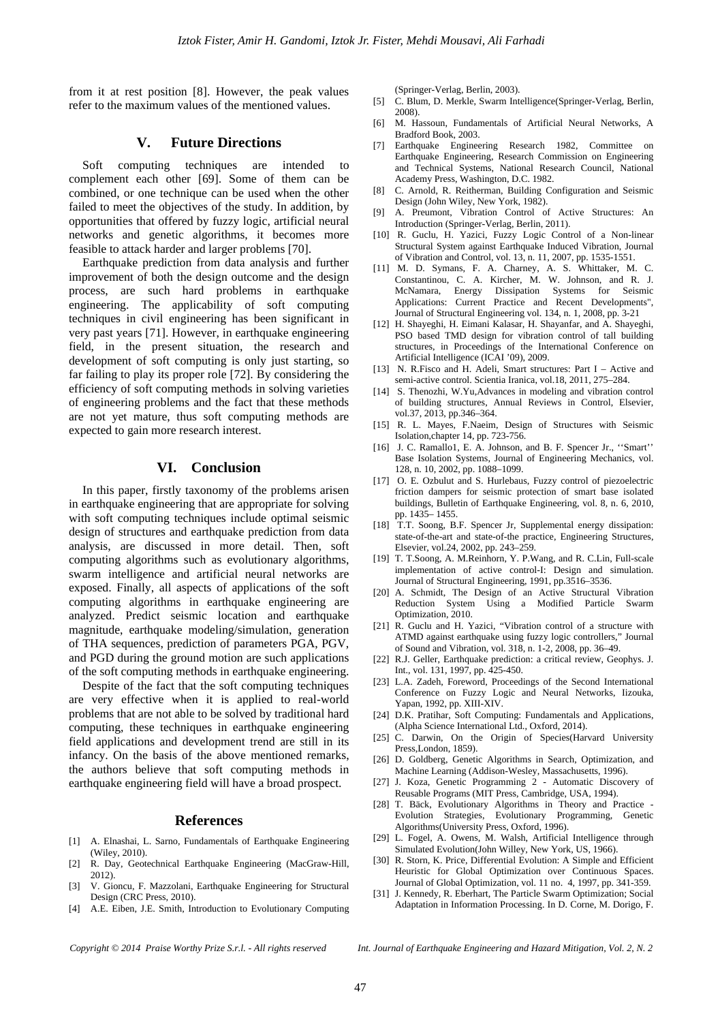from it at rest position [8]. However, the peak values refer to the maximum values of the mentioned values.

# **V. Future Directions**

Soft computing techniques are intended to complement each other [69]. Some of them can be combined, or one technique can be used when the other failed to meet the objectives of the study. In addition, by opportunities that offered by fuzzy logic, artificial neural networks and genetic algorithms, it becomes more feasible to attack harder and larger problems [70].

Earthquake prediction from data analysis and further improvement of both the design outcome and the design process, are such hard problems in earthquake engineering. The applicability of soft computing techniques in civil engineering has been significant in very past years [71]. However, in earthquake engineering field, in the present situation, the research and development of soft computing is only just starting, so far failing to play its proper role [72]. By considering the efficiency of soft computing methods in solving varieties of engineering problems and the fact that these methods are not yet mature, thus soft computing methods are expected to gain more research interest.

## **VI. Conclusion**

In this paper, firstly taxonomy of the problems arisen in earthquake engineering that are appropriate for solving with soft computing techniques include optimal seismic design of structures and earthquake prediction from data analysis, are discussed in more detail. Then, soft computing algorithms such as evolutionary algorithms, swarm intelligence and artificial neural networks are exposed. Finally, all aspects of applications of the soft computing algorithms in earthquake engineering are analyzed. Predict seismic location and earthquake magnitude, earthquake modeling/simulation, generation of THA sequences, prediction of parameters PGA, PGV, and PGD during the ground motion are such applications of the soft computing methods in earthquake engineering.

Despite of the fact that the soft computing techniques are very effective when it is applied to real-world problems that are not able to be solved by traditional hard computing, these techniques in earthquake engineering field applications and development trend are still in its infancy. On the basis of the above mentioned remarks, the authors believe that soft computing methods in earthquake engineering field will have a broad prospect.

#### **References**

- [1] A. Elnashai, L. Sarno, Fundamentals of Earthquake Engineering (Wiley, 2010).
- [2] R. Day, Geotechnical Earthquake Engineering (MacGraw-Hill, 2012).
- [3] V. Gioncu, F. Mazzolani, Earthquake Engineering for Structural Design (CRC Press, 2010).
- [4] A.E. Eiben, J.E. Smith, Introduction to Evolutionary Computing

(Springer-Verlag, Berlin, 2003).

- [5] C. Blum, D. Merkle, Swarm Intelligence(Springer-Verlag, Berlin, 2008).
- [6] M. Hassoun, Fundamentals of Artificial Neural Networks, A Bradford Book, 2003.
- [7] Earthquake Engineering Research 1982, Committee on Earthquake Engineering, Research Commission on Engineering and Technical Systems, National Research Council, National Academy Press, Washington, D.C. 1982.
- [8] C. Arnold, R. Reitherman, Building Configuration and Seismic Design (John Wiley, New York, 1982).
- [9] A. Preumont, Vibration Control of Active Structures: An Introduction (Springer-Verlag, Berlin, 2011).
- [10] R. Guclu, H. Yazici, Fuzzy Logic Control of a Non-linear Structural System against Earthquake Induced Vibration, Journal of Vibration and Control, vol. 13, n. 11, 2007, pp. 1535-1551.
- [11] M. D. Symans, F. A. Charney, A. S. Whittaker, M. C. Constantinou, C. A. Kircher, M. W. Johnson, and R. J. McNamara, Energy Dissipation Systems for Seismic Applications: Current Practice and Recent Developments", Journal of Structural Engineering vol. 134, n. 1, 2008, pp. 3-21
- [12] H. Shayeghi, H. Eimani Kalasar, H. Shayanfar, and A. Shayeghi, PSO based TMD design for vibration control of tall building structures, in Proceedings of the International Conference on Artificial Intelligence (ICAI '09), 2009.
- [13] N. R.Fisco and H. Adeli, Smart structures: Part I Active and semi-active control. Scientia Iranica, vol.18, 2011, 275–284.
- [14] S. Thenozhi, W.Yu,Advances in modeling and vibration control of building structures, Annual Reviews in Control, Elsevier, vol.37, 2013, pp.346–364.
- [15] R. L. Mayes, F.Naeim, Design of Structures with Seismic Isolation,chapter 14, pp. 723-756.
- [16] J. C. Ramallo1, E. A. Johnson, and B. F. Spencer Jr., "Smart" Base Isolation Systems, Journal of Engineering Mechanics, vol. 128, n. 10, 2002, pp. 1088–1099.
- [17] O. E. Ozbulut and S. Hurlebaus, Fuzzy control of piezoelectric friction dampers for seismic protection of smart base isolated buildings, Bulletin of Earthquake Engineering, vol. 8, n. 6, 2010, pp. 1435– 1455.
- [18] T.T. Soong, B.F. Spencer Jr, Supplemental energy dissipation: state-of-the-art and state-of-the practice, Engineering Structures, Elsevier, vol.24, 2002, pp. 243–259.
- [19] T. T.Soong, A. M.Reinhorn, Y. P.Wang, and R. C.Lin, Full-scale implementation of active control-I: Design and simulation. Journal of Structural Engineering, 1991, pp.3516–3536.
- [20] A. Schmidt, The Design of an Active Structural Vibration Reduction System Using a Modified Particle Swarm Optimization, 2010.
- [21] R. Guclu and H. Yazici, "Vibration control of a structure with ATMD against earthquake using fuzzy logic controllers," Journal of Sound and Vibration, vol. 318, n. 1-2, 2008, pp. 36–49.
- [22] R.J. Geller, Earthquake prediction: a critical review, Geophys. J. Int., vol. 131, 1997, pp. 425-450.
- [23] L.A. Zadeh, Foreword, Proceedings of the Second International Conference on Fuzzy Logic and Neural Networks, Iizouka, Yapan, 1992, pp. XIII-XIV.
- [24] D.K. Pratihar, Soft Computing: Fundamentals and Applications, (Alpha Science International Ltd., Oxford, 2014).
- [25] C. Darwin, On the Origin of Species(Harvard University Press,London, 1859).
- [26] D. Goldberg, Genetic Algorithms in Search, Optimization, and Machine Learning (Addison-Wesley, Massachusetts, 1996).
- [27] J. Koza, Genetic Programming 2 Automatic Discovery of Reusable Programs (MIT Press, Cambridge, USA, 1994).
- [28] T. Bäck, Evolutionary Algorithms in Theory and Practice Evolution Strategies, Evolutionary Programming, Genetic Algorithms(University Press, Oxford, 1996).
- [29] L. Fogel, A. Owens, M. Walsh, Artificial Intelligence through Simulated Evolution(John Willey, New York, US, 1966).
- [30] R. Storn, K. Price, Differential Evolution: A Simple and Efficient Heuristic for Global Optimization over Continuous Spaces. Journal of Global Optimization, vol. 11 no. 4, 1997, pp. 341-359.
- [31] J. Kennedy, R. Eberhart, The Particle Swarm Optimization; Social Adaptation in Information Processing. In D. Corne, M. Dorigo, F.

*Copyright © 2014 Praise Worthy Prize S.r.l. - All rights reserved Int. Journal of Earthquake Engineering and Hazard Mitigation, Vol. 2, N. 2*